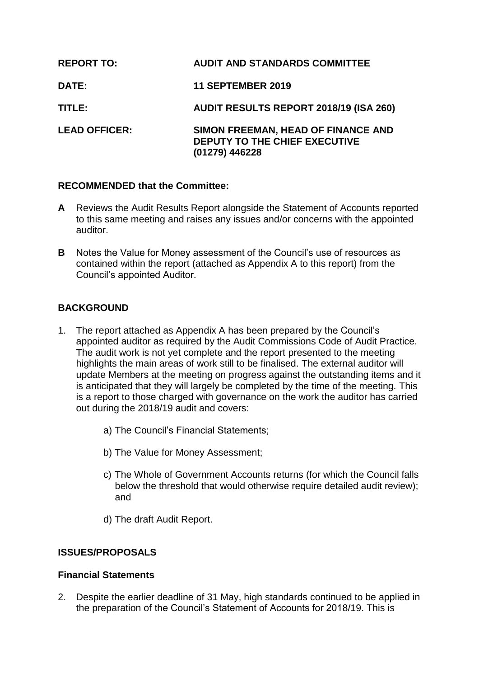| <b>REPORT TO:</b>    | <b>AUDIT AND STANDARDS COMMITTEE</b>                                                  |
|----------------------|---------------------------------------------------------------------------------------|
| <b>DATE:</b>         | <b>11 SEPTEMBER 2019</b>                                                              |
| TITLE:               | <b>AUDIT RESULTS REPORT 2018/19 (ISA 260)</b>                                         |
| <b>LEAD OFFICER:</b> | SIMON FREEMAN, HEAD OF FINANCE AND<br>DEPUTY TO THE CHIEF EXECUTIVE<br>(01279) 446228 |

# **RECOMMENDED that the Committee:**

- **A** Reviews the Audit Results Report alongside the Statement of Accounts reported to this same meeting and raises any issues and/or concerns with the appointed auditor.
- **B** Notes the Value for Money assessment of the Council's use of resources as contained within the report (attached as Appendix A to this report) from the Council's appointed Auditor.

# **BACKGROUND**

- 1. The report attached as Appendix A has been prepared by the Council's appointed auditor as required by the Audit Commissions Code of Audit Practice. The audit work is not yet complete and the report presented to the meeting highlights the main areas of work still to be finalised. The external auditor will update Members at the meeting on progress against the outstanding items and it is anticipated that they will largely be completed by the time of the meeting. This is a report to those charged with governance on the work the auditor has carried out during the 2018/19 audit and covers:
	- a) The Council's Financial Statements;
	- b) The Value for Money Assessment;
	- c) The Whole of Government Accounts returns (for which the Council falls below the threshold that would otherwise require detailed audit review); and
	- d) The draft Audit Report.

# **ISSUES/PROPOSALS**

## **Financial Statements**

2. Despite the earlier deadline of 31 May, high standards continued to be applied in the preparation of the Council's Statement of Accounts for 2018/19. This is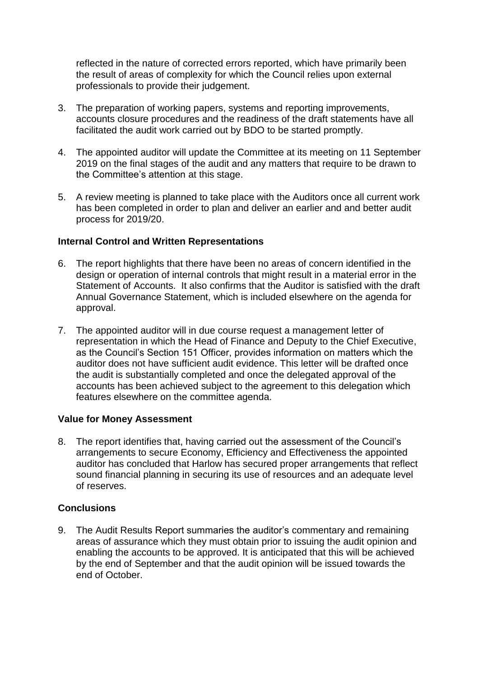reflected in the nature of corrected errors reported, which have primarily been the result of areas of complexity for which the Council relies upon external professionals to provide their judgement.

- 3. The preparation of working papers, systems and reporting improvements, accounts closure procedures and the readiness of the draft statements have all facilitated the audit work carried out by BDO to be started promptly.
- 4. The appointed auditor will update the Committee at its meeting on 11 September 2019 on the final stages of the audit and any matters that require to be drawn to the Committee's attention at this stage.
- 5. A review meeting is planned to take place with the Auditors once all current work has been completed in order to plan and deliver an earlier and and better audit process for 2019/20.

## **Internal Control and Written Representations**

- 6. The report highlights that there have been no areas of concern identified in the design or operation of internal controls that might result in a material error in the Statement of Accounts. It also confirms that the Auditor is satisfied with the draft Annual Governance Statement, which is included elsewhere on the agenda for approval.
- 7. The appointed auditor will in due course request a management letter of representation in which the Head of Finance and Deputy to the Chief Executive, as the Council's Section 151 Officer, provides information on matters which the auditor does not have sufficient audit evidence. This letter will be drafted once the audit is substantially completed and once the delegated approval of the accounts has been achieved subject to the agreement to this delegation which features elsewhere on the committee agenda.

## **Value for Money Assessment**

8. The report identifies that, having carried out the assessment of the Council's arrangements to secure Economy, Efficiency and Effectiveness the appointed auditor has concluded that Harlow has secured proper arrangements that reflect sound financial planning in securing its use of resources and an adequate level of reserves.

# **Conclusions**

9. The Audit Results Report summaries the auditor's commentary and remaining areas of assurance which they must obtain prior to issuing the audit opinion and enabling the accounts to be approved. It is anticipated that this will be achieved by the end of September and that the audit opinion will be issued towards the end of October.